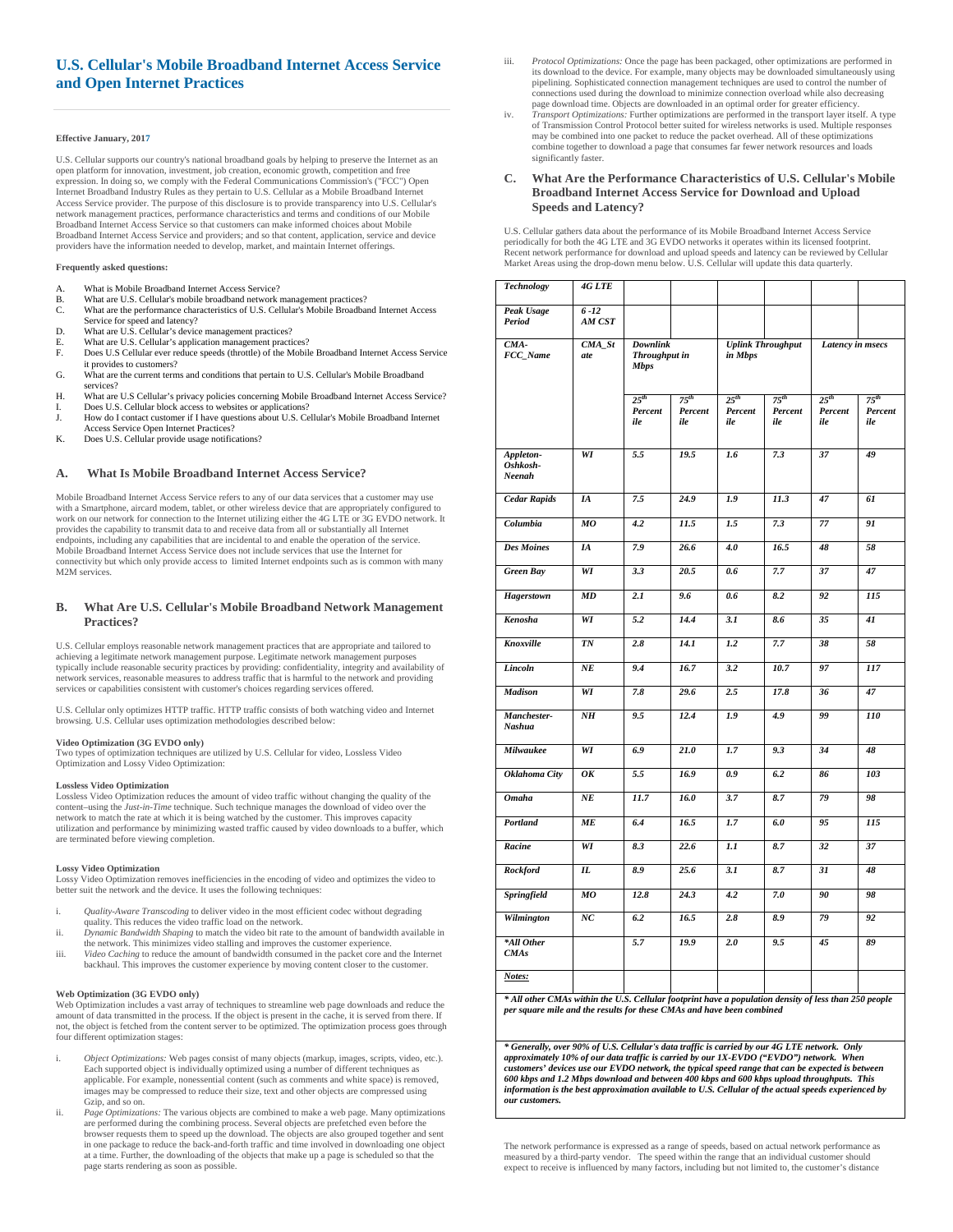# **U.S. Cellular's Mobile Broadband Internet Access Service and Open Internet Practices**

#### **Effective January, 2017**

U.S. Cellular supports our country's national broadband goals by helping to preserve the Internet as an open platform for innovation, investment, job creation, economic growth, competition and free expression. In doing so, we comply with the Federal Communications Commission's ("FCC") Open Internet Broadband Industry Rules as they pertain to U.S. Cellular as a Mobile Broadband Internet Access Service provider. The purpose of this disclosure is to provide transparency into U.S. Cellular's network management practices, performance characteristics and terms and conditions of our Mobile Broadband Internet Access Service so that customers can make informed choices about Mobile Broadband Internet Access Service and providers; and so that content, application, service and device providers have the information needed to develop, market, and maintain Internet offerings.

#### **Frequently asked questions:**

- A. What is Mobile Broadband Internet Access Service?
- B. What are U.S. Cellular's mobile broadband network management practices?<br>C. What are the performance characteristics of U.S. Cellular's Mobile Broadba What are the performance characteristics of U.S. Cellular's Mobile Broadband Internet Access
- Service for speed and latency?
- D. What are U.S. Cellular's device management practices? E. What are U.S. Cellular's application management practices?
- F. Does U.S Cellular ever reduce speeds (throttle) of the Mobile Broadband Internet Access Service it provides to customers?
- G. What are the current terms and conditions that pertain to U.S. Cellular's Mobile Broadband services?
- H. What are U.S Cellular's privacy policies concerning Mobile Broadband Internet Access Service? I. Does U.S. Cellular block access to websites or applications?<br>J. How do I contact customer if I have questions about U.S. Ce
- How do I contact customer if I have questions about U.S. Cellular's Mobile Broadband Internet Access Service Open Internet Practices?
- K. Does U.S. Cellular provide usage notifications?

### **A. What Is Mobile Broadband Internet Access Service?**

Mobile Broadband Internet Access Service refers to any of our data services that a customer may use with a Smartphone, aircard modem, tablet, or other wireless device that are appropriately configured to work on our network for connection to the Internet utilizing either the 4G LTE or 3G EVDO network. It provides the capability to transmit data to and receive data from all or substantially all Internet endpoints, including any capabilities that are incidental to and enable the operation of the service. Mobile Broadband Internet Access Service does not include services that use the Internet for connectivity but which only provide access to limited Internet endpoints such as is common with many M2M services.

### **B. What Are U.S. Cellular's Mobile Broadband Network Management Practices?**

U.S. Cellular employs reasonable network management practices that are appropriate and tailored to achieving a legitimate network management purpose. Legitimate network management purposes typically include reasonable security practices by providing: confidentiality, integrity and availability of network services, reasonable measures to address traffic that is harmful to the network and providing services or capabilities consistent with customer's choices regarding services offered.

U.S. Cellular only optimizes HTTP traffic. HTTP traffic consists of both watching video and Internet browsing. U.S. Cellular uses optimization methodologies described below:

# **Video Optimization (3G EVDO only)**

Two types of optimization techniques are utilized by U.S. Cellular for video, Lossless Video Optimization and Lossy Video Optimization:

#### **Lossless Video Optimization**

Lossless Video Optimization reduces the amount of video traffic without changing the quality of the content–using the *Just-in-Time* technique. Such technique manages the download of video over the network to match the rate at which it is being watched by the customer. This improves capacity utilization and performance by minimizing wasted traffic caused by video downloads to a buffer, which are terminated before viewing completion.

#### **Lossy Video Optimization**

Lossy Video Optimization removes inefficiencies in the encoding of video and optimizes the video to better suit the network and the device. It uses the following techniques:

- i. *Quality-Aware Transcoding* to deliver video in the most efficient codec without degrading quality. This reduces the video traffic load on the network.
- ii. *Dynamic Bandwidth Shaping* to match the video bit rate to the amount of bandwidth available in the network. This minimizes video stalling and improves the customer experience.
- iii. *Video Caching* to reduce the amount of bandwidth consumed in the packet core and the Internet backhaul. This improves the customer experience by moving content closer to the customer.

#### **Web Optimization (3G EVDO only)**

Web Optimization includes a vast array of techniques to streamline web page downloads and reduce the amount of data transmitted in the process. If the object is present in the cache, it is served from there. If not, the object is fetched from the content server to be optimized. The optimization process goes through four different optimization stages:

- i. *Object Optimizations:* Web pages consist of many objects (markup, images, scripts, video, etc.). Each supported object is individually optimized using a number of different techniques as applicable. For example, nonessential content (such as comments and white space) is removed, images may be compressed to reduce their size, text and other objects are compressed using Gzip, and so on.
- ii. *Page Optimizations:* The various objects are combined to make a web page. Many optimizations are performed during the combining process. Several objects are prefetched even before the browser requests them to speed up the download. The objects are also grouped together and sent in one package to reduce the back-and-forth traffic and time involved in downloading one object at a time. Further, the downloading of the objects that make up a page is scheduled so that the page starts rendering as soon as possible.
- iii. *Protocol Optimizations:* Once the page has been packaged, other optimizations are performed in its download to the device. For example, many objects may be downloaded simultaneously using pipelining. Sophisticated connection management techniques are used to control the number of connections used during the download to minimize connection overload while also decreasing page download time. Objects are downloaded in an optimal order for greater efficiency.
- iv. *Transport Optimizations:* Further optimizations are performed in the transport layer itself. A type of Transmission Control Protocol better suited for wireless networks is used. Multiple responses may be combined into one packet to reduce the packet overhead. All of these optimizations combine together to download a page that consumes far fewer network resources and loads significantly faster.

#### **C. What Are the Performance Characteristics of U.S. Cellular's Mobile Broadband Internet Access Service for Download and Upload Speeds and Latency?**

U.S. Cellular gathers data about the performance of its Mobile Broadband Internet Access Service periodically for both the 4G LTE and 3G EVDO networks it operates within its licensed footprin Recent network performance for download and upload speeds and latency can be reviewed by Cellular Market Areas using the drop-down menu below. U.S. Cellular will update this data quarterly.

| <b>Technology</b>               | 4G LTE             |                                                 |                |                                     |                |                  |                  |
|---------------------------------|--------------------|-------------------------------------------------|----------------|-------------------------------------|----------------|------------------|------------------|
| Peak Usage<br>Period            | $6 - 12$<br>AM CST |                                                 |                |                                     |                |                  |                  |
| CMA-<br>FCC_Name                | $CMA_S$ t<br>ate   | <b>Downlink</b><br>Throughput in<br><b>Mbps</b> |                | <b>Uplink Throughput</b><br>in Mbps |                | Latency in msecs |                  |
|                                 |                    | $25^{th}$                                       | $75^{th}$      | $25^{th}$                           | $75^{th}$      | $25^{th}$        | $75^{th}$        |
|                                 |                    | Percent<br>ile                                  | Percent<br>ile | Percent<br>ile                      | Percent<br>ile | Percent<br>ile   | Percent<br>ile   |
| Appleton-<br>Oshkosh-<br>Neenah | WI                 | 5.5                                             | 19.5           | 1.6                                 | 7.3            | 37               | 49               |
| <b>Cedar Rapids</b>             | IA                 | 7.5                                             | 24.9           | 1.9                                 | 11.3           | 47               | 6I               |
| Columbia                        | MO                 | 4.2                                             | 11.5           | 1.5                                 | 7.3            | 77               | 91               |
| <b>Des Moines</b>               | IA                 | 7.9                                             | 26.6           | 4.0                                 | 16.5           | 48               | 58               |
| <b>Green Bay</b>                | WI                 | 3.3                                             | 20.5           | 0.6                                 | 7.7            | 37               | 47               |
| <b>Hagerstown</b>               | <b>MD</b>          | 2.1                                             | 9.6            | 0.6                                 | 8.2            | 92               | $\overline{115}$ |
| Kenosha                         | WI                 | 5.2                                             | 14.4           | 3.1                                 | 8.6            | 35               | 41               |
| Knoxville                       | $\overline{TN}$    | 2.8                                             | 14.1           | 1.2                                 | 7.7            | 38               | 58               |
| Lincoln                         | $N$ E              | 9.4                                             | 16.7           | 3.2                                 | 10.7           | 97               | 117              |
| <b>Madison</b>                  | $\overline{WI}$    | 7.8                                             | 29.6           | 2.5                                 | 17.8           | 36               | 47               |
| Manchester-<br>Nashua           | N <sub>H</sub>     | 9.5                                             | 12.4           | 1.9                                 | 4.9            | 99               | 110              |
| Milwaukee                       | $\overline{WI}$    | 6.9                                             | 21.0           | 1.7                                 | 9.3            | 34               | 48               |
| Oklahoma City                   | OK                 | 5.5                                             | 16.9           | 0.9                                 | 6.2            | 86               | 103              |
| <b>Omaha</b>                    | NE                 | 11.7                                            | 16.0           | 3.7                                 | 8.7            | 79               | 98               |
| Portland                        | <b>ME</b>          | 6.4                                             | 16.5           | 1.7                                 | 6.0            | 95               | $\overline{115}$ |
| Racine                          | WI                 | 8.3                                             | 22.6           | 1.1                                 | 8.7            | 32               | 37               |
| <b>Rockford</b>                 | $\overline{H}$     | 8.9                                             | 25.6           | 3.1                                 | 8.7            | $\overline{31}$  | 48               |
| Springfield                     | $_{MO}$            | 12.8                                            | 24.3           | 4.2                                 | 7.0            | 90               | 98               |
| Wilmington                      | NC                 | 6.2                                             | 16.5           | 2.8                                 | 8.9            | 79               | 92               |
| *All Other<br><b>CMAs</b>       |                    | 5.7                                             | 19.9           | 2.0                                 | 9.5            | 45               | 89               |
| Notes:                          |                    |                                                 |                |                                     |                |                  |                  |

*\* All other CMAs within the U.S. Cellular footprint have a population density of less than 250 people per square mile and the results for these CMAs and have been combined* 

*\* Generally, over 90% of U.S. Cellular's data traffic is carried by our 4G LTE network. Only approximately 10% of our data traffic is carried by our 1X-EVDO ("EVDO") network. When customers' devices use our EVDO network, the typical speed range that can be expected is between 600 kbps and 1.2 Mbps download and between 400 kbps and 600 kbps upload throughputs. This information is the best approximation available to U.S. Cellular of the actual speeds experienced by our customers.* 

The network performance is expressed as a range of speeds, based on actual network performance as measured by a third-party vendor. The speed within the range that an individual customer should expect to receive is influenced by many factors, including but not limited to, the customer's distance